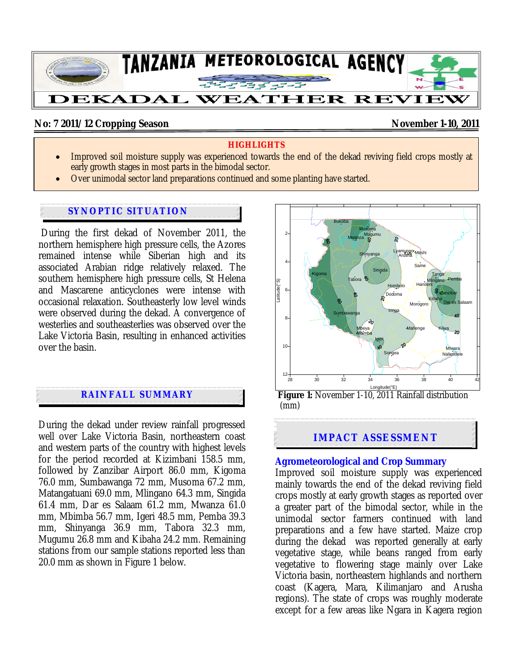

# No: 7 2011/12 Cropping Season **November 1-10, 2011**

## **HIGHLIGHTS**

- Improved soil moisture supply was experienced towards the end of the dekad reviving field crops mostly at early growth stages in most parts in the bimodal sector.
- Over unimodal sector land preparations continued and some planting have started.

## **SYNOPTIC SITUATION**

 During the first dekad of November 2011, the northern hemisphere high pressure cells, the Azores remained intense while Siberian high and its associated Arabian ridge relatively relaxed. The southern hemisphere high pressure cells, St Helena and Mascarene anticyclones were intense with occasional relaxation. Southeasterly low level winds were observed during the dekad. A convergence of westerlies and southeasterlies was observed over the Lake Victoria Basin, resulting in enhanced activities over the basin.

# **RAINFALL SUMMARY**

During the dekad under review rainfall progressed well over Lake Victoria Basin, northeastern coast and western parts of the country with highest levels for the period recorded at Kizimbani 158.5 mm, followed by Zanzibar Airport 86.0 mm, Kigoma 76.0 mm, Sumbawanga 72 mm, Musoma 67.2 mm, Matangatuani 69.0 mm, Mlingano 64.3 mm, Singida 61.4 mm, Dar es Salaam 61.2 mm, Mwanza 61.0 mm, Mbimba 56.7 mm, Igeri 48.5 mm, Pemba 39.3 mm, Shinyanga 36.9 mm, Tabora 32.3 mm, Mugumu 26.8 mm and Kibaha 24.2 mm. Remaining stations from our sample stations reported less than 20.0 mm as shown in Figure 1 below.



(mm)

# **IMPACT ASSESSMENT**

### **Agrometeorological and Crop Summary**

Improved soil moisture supply was experienced mainly towards the end of the dekad reviving field crops mostly at early growth stages as reported over a greater part of the bimodal sector, while in the unimodal sector farmers continued with land preparations and a few have started. Maize crop during the dekad was reported generally at early vegetative stage, while beans ranged from early vegetative to flowering stage mainly over Lake Victoria basin, northeastern highlands and northern coast (Kagera, Mara, Kilimanjaro and Arusha regions). The state of crops was roughly moderate except for a few areas like Ngara in Kagera region